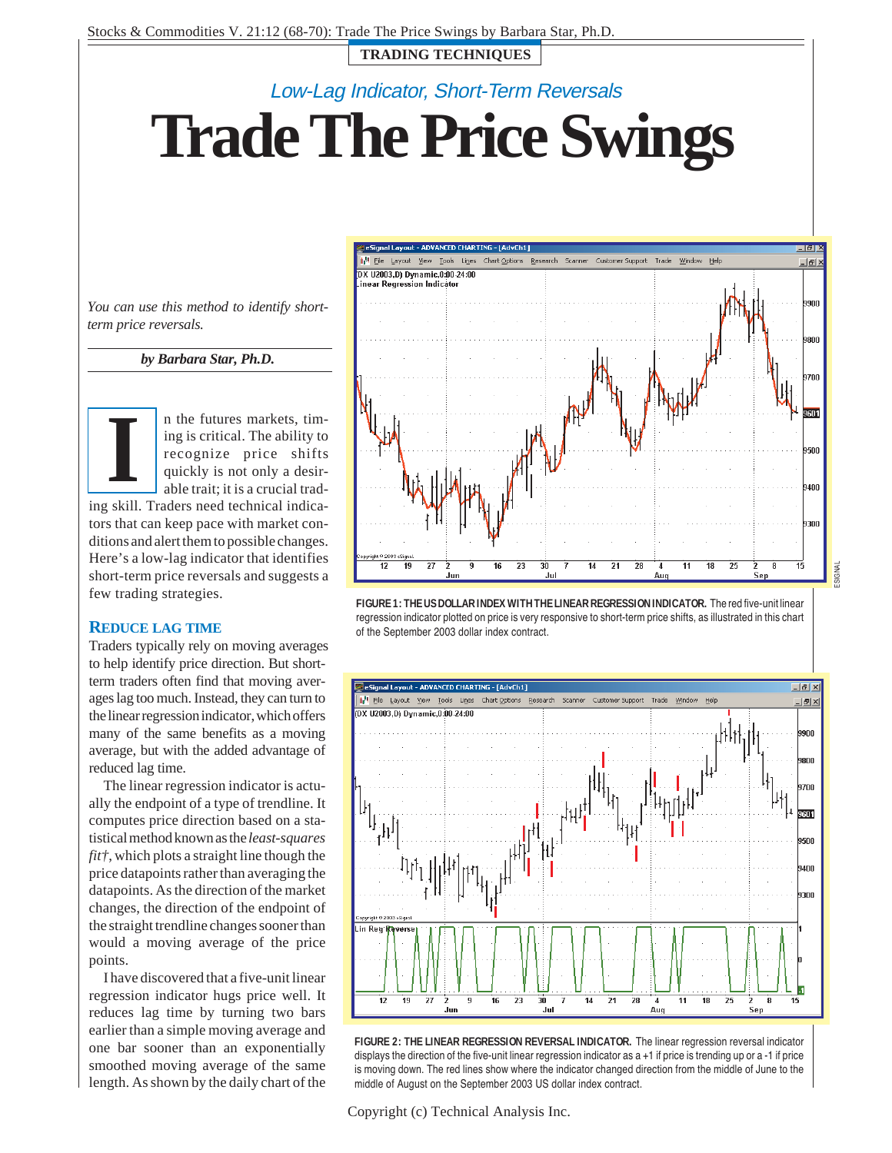**TRADING TECHNIQUES**

# Low-Lag Indicator, Short-Term Reversals

**Trade The Price Swings**

*You can use this method to identify shortterm price reversals.*

*by Barbara Star, Ph.D.*



n the futures markets, timing is critical. The ability to recognize price shifts quickly is not only a desirable trait; it is a crucial trad-

ing skill. Traders need technical indicators that can keep pace with market conditions and alert them to possible changes. Here's a low-lag indicator that identifies short-term price reversals and suggests a few trading strategies.

### **REDUCE LAG TIME**

Traders typically rely on moving averages to help identify price direction. But shortterm traders often find that moving averages lag too much. Instead, they can turn to the linear regression indicator, which offers many of the same benefits as a moving average, but with the added advantage of reduced lag time.

The linear regression indicator is actually the endpoint of a type of trendline. It computes price direction based on a statistical method known as the *least-squares fit†*, which plots a straight line though the price datapoints rather than averaging the datapoints. As the direction of the market changes, the direction of the endpoint of the straight trendline changes sooner than would a moving average of the price points.

I have discovered that a five-unit linear regression indicator hugs price well. It reduces lag time by turning two bars earlier than a simple moving average and one bar sooner than an exponentially smoothed moving average of the same length. As shown by the daily chart of the









Copyright (c) Technical Analysis Inc.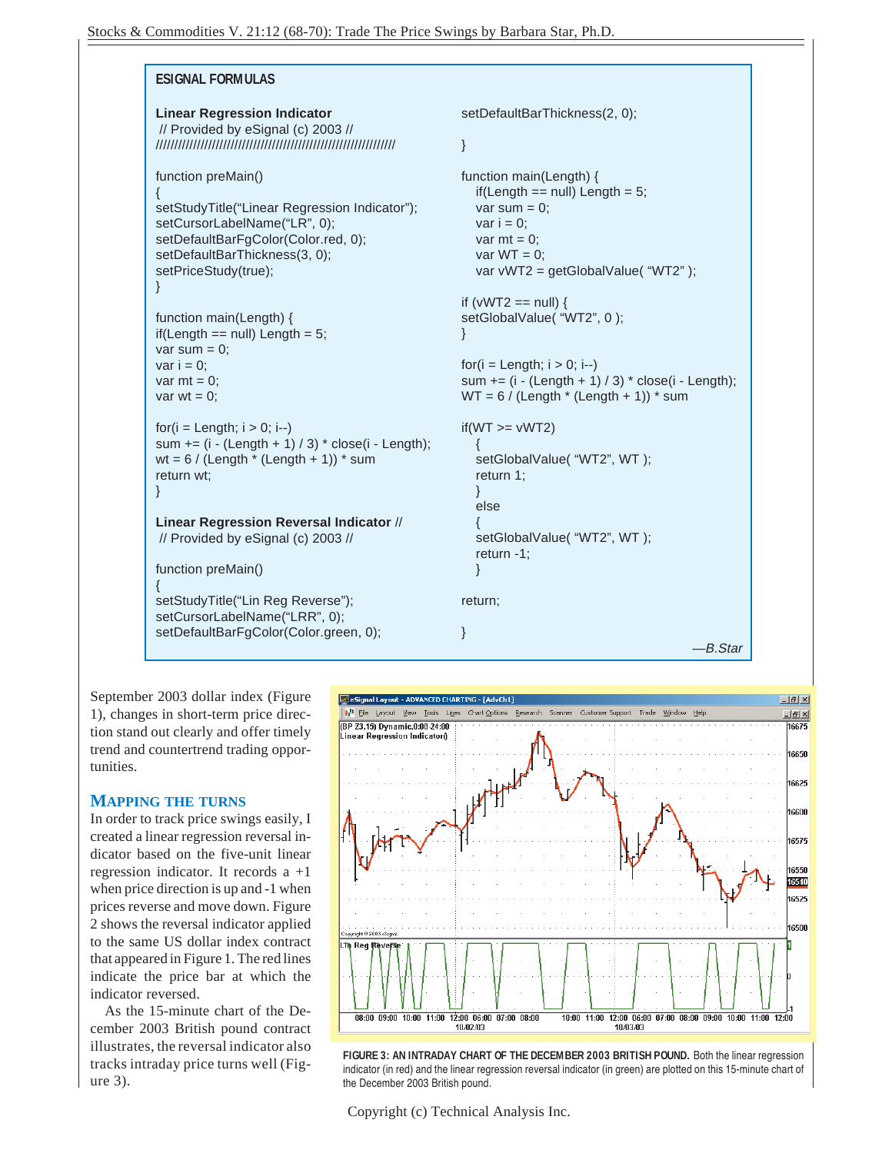#### **ESIGNAL FORMULAS Linear Regression Indicator** // Provided by eSignal (c) 2003 // //////////////////////////////////////////////////////////////// function preMain() { setStudyTitle("Linear Regression Indicator"); setCursorLabelName("LR", 0); setDefaultBarFgColor(Color.red, 0); setDefaultBarThickness(3, 0); setPriceStudy(true); } function main(Length) {  $if(Length == null) Length = 5;$ var sum  $= 0$ ; var  $i = 0$ ; var  $mt = 0$ : var  $wt = 0$ :  $for(i = Length; i > 0; i-)$ sum  $+=$  (i - (Length  $+$  1) / 3)  $*$  close(i - Length); wt =  $6$  / (Length  $*$  (Length  $+$  1))  $*$  sum return wt; setDefaultBarThickness(2, 0); } function main(Length) {  $if(Length == null) Length = 5;$ var sum  $= 0$ ; var  $i = 0$ : var  $mt = 0$ : var  $WT = 0$ ; var vWT2 = getGlobalValue( "WT2" ); if ( $vWT2 == null$ ) { setGlobalValue( "WT2", 0); }  $for(i = Length; i > 0; i--)$ sum  $+=$  (i  $-$  (Length  $+$  1) / 3)  $*$  close(i  $-$  Length);  $WT = 6 / (Length * (Length + 1)) * sum$  $if(WT >= vWT2)$ { setGlobalValue( "WT2", WT); return 1;

 // Provided by eSignal (c) 2003 // function preMain() {

**Linear Regression Reversal Indicator** //

setStudyTitle("Lin Reg Reverse"); setCursorLabelName("LRR", 0); setDefaultBarFgColor(Color.green, 0); setGlobalValue( "WT2", WT); return -1;

```
return;
```
}

}

} else {

—B.Star

September 2003 dollar index (Figure 1), changes in short-term price direction stand out clearly and offer timely trend and countertrend trading opportunities.

### **MAPPING THE TURNS**

}

In order to track price swings easily, I created a linear regression reversal indicator based on the five-unit linear regression indicator. It records a +1 when price direction is up and -1 when prices reverse and move down. Figure 2 shows the reversal indicator applied to the same US dollar index contract that appeared in Figure 1. The red lines indicate the price bar at which the indicator reversed.

As the 15-minute chart of the December 2003 British pound contract illustrates, the reversal indicator also tracks intraday price turns well (Figure 3).



**FIGURE 3: AN INTRADAY CHART OF THE DECEMBER 2003 BRITISH POUND.** Both the linear regression indicator (in red) and the linear regression reversal indicator (in green) are plotted on this 15-minute chart of the December 2003 British pound.

Copyright (c) Technical Analysis Inc.